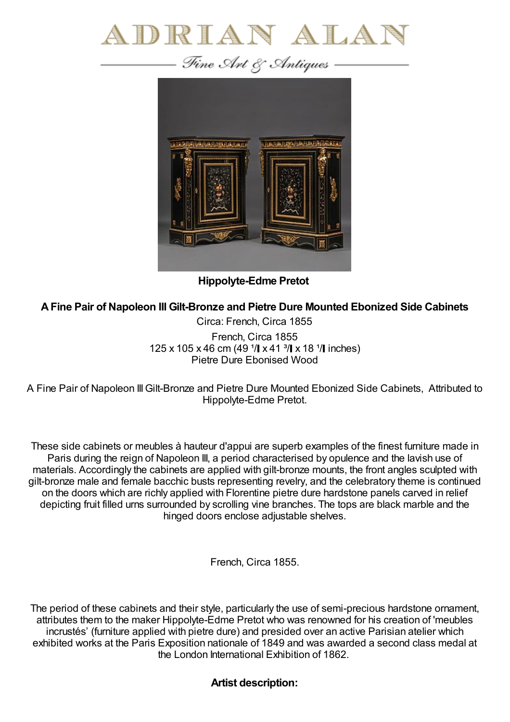



**Hippolyte-Edme Pretot**

## **AFine Pair of Napoleon III Gilt-Bronze and Pietre Dure Mounted Ebonized Side Cabinets**

Circa: French, Circa 1855 French, Circa 1855 125 x 105 x 46 cm (49  $1/$  x 41  $3/$  x 18  $1/$  inches) Pietre Dure Ebonised Wood

A Fine Pair of Napoleon III Gilt-Bronze and Pietre Dure Mounted Ebonized Side Cabinets, Attributed to Hippolyte-Edme Pretot.

These side cabinets or meubles à hauteur d'appui are superb examples of the finest furniture made in Paris during the reign of Napoleon III, a period characterised by opulence and the lavish use of materials. Accordingly the cabinets are applied with gilt-bronze mounts, the front angles sculpted with gilt-bronze male and female bacchic busts representing revelry, and the celebratory theme is continued on the doors which are richly applied with Florentine pietre dure hardstone panels carved in relief depicting fruit filled urns surrounded by scrolling vine branches. The tops are black marble and the hinged doors enclose adjustable shelves.

French, Circa 1855.

The period of these cabinets and their style, particularly the use of semi-precious hardstone ornament, attributes them to the maker Hippolyte-Edme Pretot who was renowned for his creation of 'meubles incrustés' (furniture applied with pietre dure) and presided over an active Parisian atelier which exhibited works at the Paris Exposition nationale of 1849 and was awarded a second class medal at the London International Exhibition of 1862.

**Artist description:**